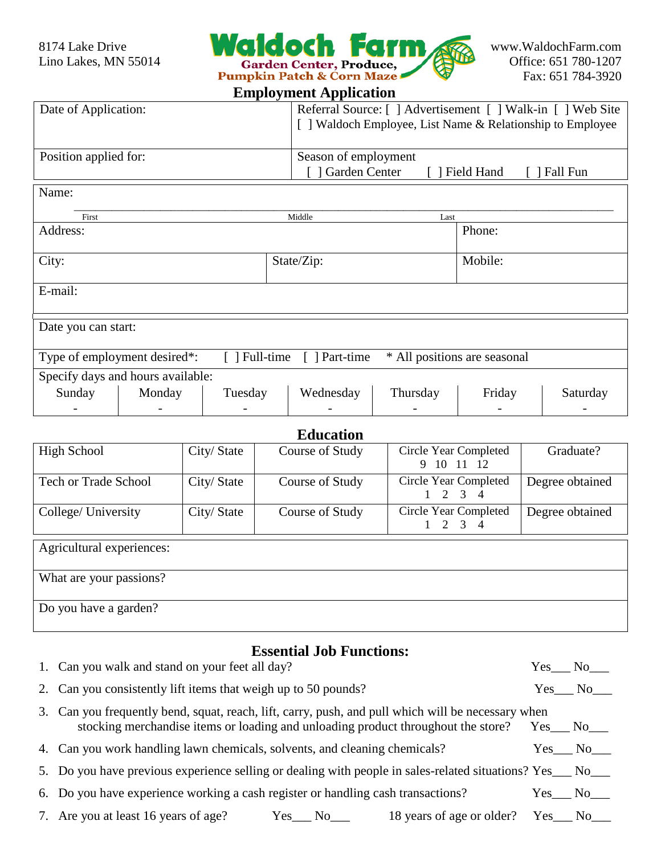

### **Employment Application**

| Date of Application:  | Referral Source: [ ] Advertisement [ ] Walk-in [ ] Web Site ]<br>[ ] Waldoch Employee, List Name & Relationship to Employee |  |  |
|-----------------------|-----------------------------------------------------------------------------------------------------------------------------|--|--|
| Position applied for: | Season of employment<br>] Garden Center<br>Field Hand<br>Fall Fun                                                           |  |  |

| Name:                                                                                                 |        |         |            |          |         |          |
|-------------------------------------------------------------------------------------------------------|--------|---------|------------|----------|---------|----------|
| First                                                                                                 |        |         | Middle     | Last     |         |          |
| Address:                                                                                              |        |         |            |          | Phone:  |          |
| City:                                                                                                 |        |         | State/Zip: |          | Mobile: |          |
| E-mail:                                                                                               |        |         |            |          |         |          |
| Date you can start:                                                                                   |        |         |            |          |         |          |
| * All positions are seasonal<br>Type of employment desired*:<br>$\lceil$   Full-time<br>[ ] Part-time |        |         |            |          |         |          |
| Specify days and hours available:                                                                     |        |         |            |          |         |          |
| Sunday                                                                                                | Monday | Tuesday | Wednesday  | Thursday | Friday  | Saturday |
|                                                                                                       |        |         |            |          |         |          |

## **Education**

| High School                 | City/State | Course of Study | Circle Year Completed<br>9 10 11 12      | Graduate?       |  |
|-----------------------------|------------|-----------------|------------------------------------------|-----------------|--|
| <b>Tech or Trade School</b> | City/State | Course of Study | Circle Year Completed<br>$1 \t2 \t3 \t4$ | Degree obtained |  |
| College/ University         | City/State | Course of Study | Circle Year Completed<br>$1 \t2 \t3 \t4$ | Degree obtained |  |
| Agricultural experiences:   |            |                 |                                          |                 |  |
| What are your passions?     |            |                 |                                          |                 |  |
| Do you have a garden?       |            |                 |                                          |                 |  |

# **Essential Job Functions:**

| 1. Can you walk and stand on your feet all day?                                                                                                                                         | Yes | No              |
|-----------------------------------------------------------------------------------------------------------------------------------------------------------------------------------------|-----|-----------------|
| 2. Can you consistently lift items that weigh up to 50 pounds?                                                                                                                          |     | Yes No          |
| 3. Can you frequently bend, squat, reach, lift, carry, push, and pull which will be necessary when<br>stocking merchandise items or loading and unloading product throughout the store? |     | Yes No          |
| 4. Can you work handling lawn chemicals, solvents, and cleaning chemicals?                                                                                                              |     | Yes No          |
| 5. Do you have previous experience selling or dealing with people in sales-related situations? Yes___ No___                                                                             |     |                 |
| 6. Do you have experience working a cash register or handling cash transactions?                                                                                                        |     | Yes No          |
| 7. Are you at least 16 years of age?<br>18 years of age or older?<br>$Yes$ No $\_\_$                                                                                                    |     | $Yes$ No $\_\_$ |